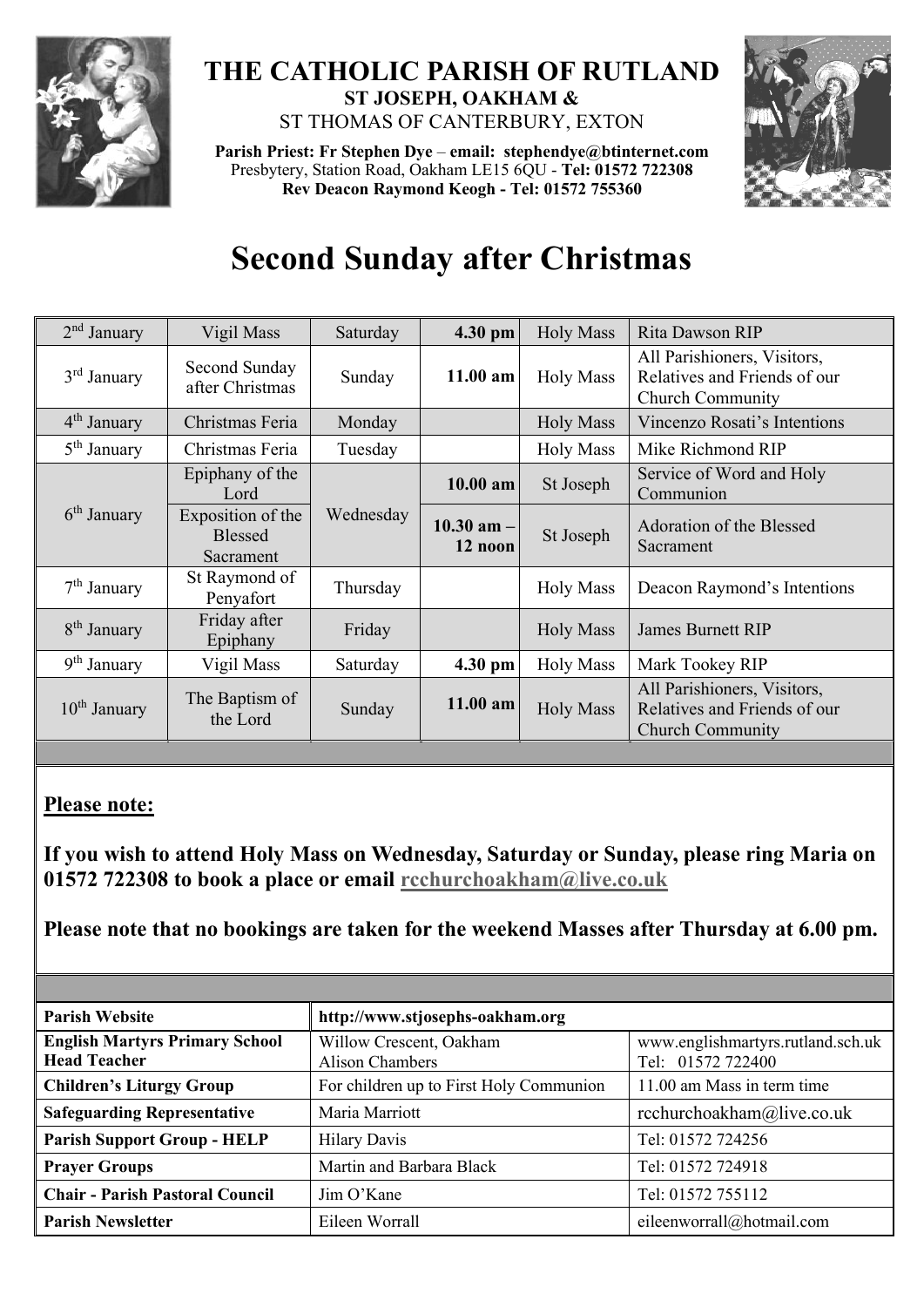

## **THE CATHOLIC PARISH OF RUTLAND ST JOSEPH, OAKHAM &**  ST THOMAS OF CANTERBURY, EXTON

**Parish Priest: Fr Stephen Dye** – **[email: stephendye@btinternet.com](mailto:email:%20%20stephendye@btinternet.com)** Presbytery, Station Road, Oakham LE15 6QU - **Tel: 01572 722308 Rev Deacon Raymond Keogh - Tel: 01572 755360**



## **Second Sunday after Christmas**

| $2nd$ January           | Vigil Mass                                       | Saturday  | 4.30 pm                    | <b>Holy Mass</b> | Rita Dawson RIP                                                                        |
|-------------------------|--------------------------------------------------|-----------|----------------------------|------------------|----------------------------------------------------------------------------------------|
| 3 <sup>rd</sup> January | Second Sunday<br>after Christmas                 | Sunday    | $11.00$ am                 | <b>Holy Mass</b> | All Parishioners, Visitors,<br>Relatives and Friends of our<br><b>Church Community</b> |
| 4 <sup>th</sup> January | Christmas Feria                                  | Monday    |                            | <b>Holy Mass</b> | Vincenzo Rosati's Intentions                                                           |
| 5 <sup>th</sup> January | Christmas Feria                                  | Tuesday   |                            | <b>Holy Mass</b> | Mike Richmond RIP                                                                      |
| 6 <sup>th</sup> January | Epiphany of the<br>Lord                          | Wednesday | $10.00$ am                 | St Joseph        | Service of Word and Holy<br>Communion                                                  |
|                         | Exposition of the<br><b>Blessed</b><br>Sacrament |           | $10.30$ am $-1$<br>12 noon | St Joseph        | <b>Adoration of the Blessed</b><br>Sacrament                                           |
| $7th$ January           | St Raymond of<br>Penyafort                       | Thursday  |                            | <b>Holy Mass</b> | Deacon Raymond's Intentions                                                            |
| 8 <sup>th</sup> January | Friday after<br>Epiphany                         | Friday    |                            | <b>Holy Mass</b> | <b>James Burnett RIP</b>                                                               |
| 9 <sup>th</sup> January | Vigil Mass                                       | Saturday  | 4.30 pm                    | <b>Holy Mass</b> | Mark Tookey RIP                                                                        |
| $10th$ January          | The Baptism of<br>the Lord                       | Sunday    | 11.00 am                   | <b>Holy Mass</b> | All Parishioners, Visitors,<br>Relatives and Friends of our<br><b>Church Community</b> |

## **Please note:**

**If you wish to attend Holy Mass on Wednesday, Saturday or Sunday, please ring Maria on 01572 722308 to book a place or email [rcchurchoakham@live.co.uk](mailto:rcchurchoakham@live.co.uk)** 

**Please note that no bookings are taken for the weekend Masses after Thursday at 6.00 pm.**

| <b>Parish Website</b>                                        | http://www.stjosephs-oakham.org                   |                                                        |  |
|--------------------------------------------------------------|---------------------------------------------------|--------------------------------------------------------|--|
| <b>English Martyrs Primary School</b><br><b>Head Teacher</b> | Willow Crescent, Oakham<br><b>Alison Chambers</b> | www.englishmartyrs.rutland.sch.uk<br>Tel: 01572 722400 |  |
| <b>Children's Liturgy Group</b>                              | For children up to First Holy Communion           | 11.00 am Mass in term time                             |  |
| <b>Safeguarding Representative</b>                           | Maria Marriott                                    | rcchurchoakham@live.co.uk                              |  |
| <b>Parish Support Group - HELP</b>                           | <b>Hilary Davis</b>                               | Tel: 01572 724256                                      |  |
| <b>Prayer Groups</b>                                         | Martin and Barbara Black                          | Tel: 01572 724918                                      |  |
| <b>Chair - Parish Pastoral Council</b>                       | Jim O'Kane                                        | Tel: 01572 755112                                      |  |
| <b>Parish Newsletter</b>                                     | Eileen Worrall                                    | eileenworrall@hotmail.com                              |  |